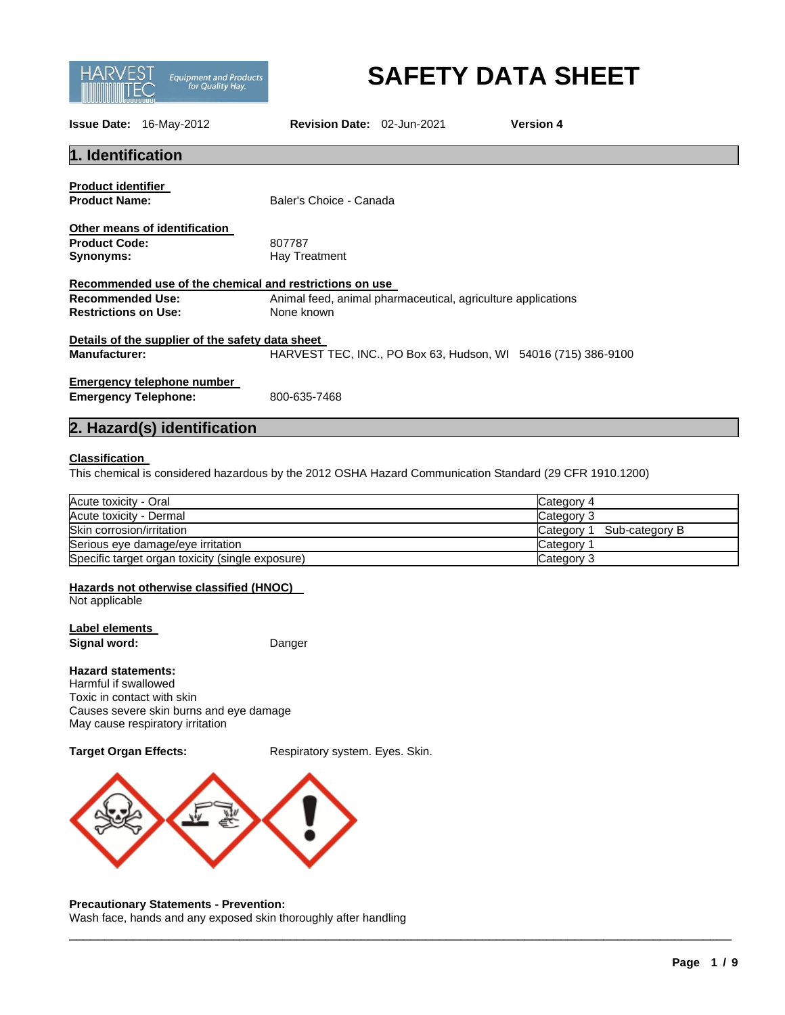

# **SAFETY DATA SHEET**

**Issue Date:** 16-May-2012 **Revision Date:** 02-Jun-2021 **Version 4**

# **1. Identification**

**Product identifier** 

| Other means of identification |               |
|-------------------------------|---------------|
| <b>Product Code:</b>          | 807787        |
| Synonyms:                     | Hay Treatment |

**Product Name:** Baler's Choice - Canada

**Product Code:** 807787

| Recommended use of the chemical and restrictions on use |                                                              |
|---------------------------------------------------------|--------------------------------------------------------------|
| Recommended Use:                                        | Animal feed, animal pharmaceutical, agriculture applications |
| <b>Restrictions on Use:</b>                             | None known                                                   |

**Details of the supplier of the safety data sheet Manufacturer:** HARVEST TEC, INC., PO Box 63, Hudson, WI 54016 (715) 386-9100

### **Emergency telephone number Emergency Telephone:** 800-635-7468

# **2. Hazard(s) identification**

### **Classification**

This chemical is considered hazardous by the 2012 OSHA Hazard Communication Standard (29 CFR 1910.1200)

| Acute toxicity - Oral                            | Category 4                   |
|--------------------------------------------------|------------------------------|
| Acute toxicity - Dermal                          | Category 3                   |
| Skin corrosion/irritation                        | Sub-category B<br>Category 1 |
| Serious eye damage/eye irritation                | Category <sup>2</sup>        |
| Specific target organ toxicity (single exposure) | Category 3                   |

\_\_\_\_\_\_\_\_\_\_\_\_\_\_\_\_\_\_\_\_\_\_\_\_\_\_\_\_\_\_\_\_\_\_\_\_\_\_\_\_\_\_\_\_\_\_\_\_\_\_\_\_\_\_\_\_\_\_\_\_\_\_\_\_\_\_\_\_\_\_\_\_\_\_\_\_\_\_\_\_\_\_\_\_\_\_\_\_\_\_\_\_\_

#### **Hazards not otherwise classified (HNOC)**

Not applicable

**Label elements Signal word:** Danger

#### **Hazard statements:**

Harmful if swallowed Toxic in contact with skin Causes severe skin burns and eye damage May cause respiratory irritation

**Target Organ Effects:** Respiratory system. Eyes. Skin.



#### **Precautionary Statements - Prevention:**

Wash face, hands and any exposed skin thoroughly after handling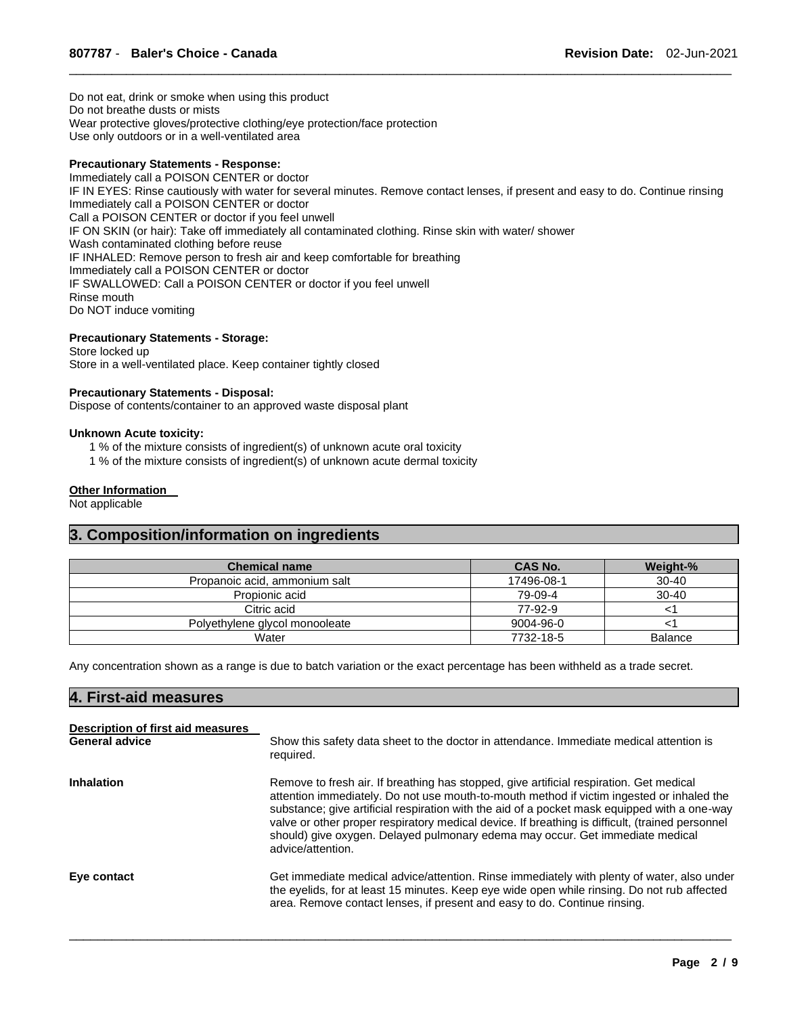Do not eat, drink or smoke when using this product Do not breathe dusts or mists Wear protective gloves/protective clothing/eye protection/face protection Use only outdoors or in a well-ventilated area

#### **Precautionary Statements - Response:**

Immediately call a POISON CENTER or doctor IF IN EYES: Rinse cautiously with water for several minutes. Remove contact lenses, if present and easy to do. Continue rinsing Immediately call a POISON CENTER or doctor Call a POISON CENTER or doctor if you feel unwell IF ON SKIN (or hair): Take off immediately all contaminated clothing. Rinse skin with water/ shower Wash contaminated clothing before reuse IF INHALED: Remove person to fresh air and keep comfortable for breathing Immediately call a POISON CENTER or doctor IF SWALLOWED: Call a POISON CENTER or doctor if you feel unwell Rinse mouth Do NOT induce vomiting

\_\_\_\_\_\_\_\_\_\_\_\_\_\_\_\_\_\_\_\_\_\_\_\_\_\_\_\_\_\_\_\_\_\_\_\_\_\_\_\_\_\_\_\_\_\_\_\_\_\_\_\_\_\_\_\_\_\_\_\_\_\_\_\_\_\_\_\_\_\_\_\_\_\_\_\_\_\_\_\_\_\_\_\_\_\_\_\_\_\_\_\_\_

#### **Precautionary Statements - Storage:**

Store locked up Store in a well-ventilated place. Keep container tightly closed

#### **Precautionary Statements - Disposal:**

Dispose of contents/container to an approved waste disposal plant

#### **Unknown Acute toxicity:**

- 1 % of the mixture consists of ingredient(s) of unknown acute oral toxicity
- 1 % of the mixture consists of ingredient(s) of unknown acute dermal toxicity

#### **Other Information**

Not applicable

# **3. Composition/information on ingredients**

| <b>Chemical name</b>           | CAS No.    | Weight-%       |
|--------------------------------|------------|----------------|
| Propanoic acid, ammonium salt  | 17496-08-1 | $30 - 40$      |
| Propionic acid                 | 79-09-4    | $30 - 40$      |
| Citric acid                    | 77-92-9    |                |
| Polyethylene glycol monooleate | 9004-96-0  |                |
| Water                          | 7732-18-5  | <b>Balance</b> |

Any concentration shown as a range is due to batch variation or the exact percentage has been withheld as a trade secret.

#### **4. First-aid measures**

| Description of first aid measures<br><b>General advice</b> | Show this safety data sheet to the doctor in attendance. Immediate medical attention is<br>required.                                                                                                                                                                                                                                                                                                                                                                                          |
|------------------------------------------------------------|-----------------------------------------------------------------------------------------------------------------------------------------------------------------------------------------------------------------------------------------------------------------------------------------------------------------------------------------------------------------------------------------------------------------------------------------------------------------------------------------------|
| <b>Inhalation</b>                                          | Remove to fresh air. If breathing has stopped, give artificial respiration. Get medical<br>attention immediately. Do not use mouth-to-mouth method if victim ingested or inhaled the<br>substance; give artificial respiration with the aid of a pocket mask equipped with a one-way<br>valve or other proper respiratory medical device. If breathing is difficult, (trained personnel<br>should) give oxygen. Delayed pulmonary edema may occur. Get immediate medical<br>advice/attention. |
| Eye contact                                                | Get immediate medical advice/attention. Rinse immediately with plenty of water, also under<br>the eyelids, for at least 15 minutes. Keep eye wide open while rinsing. Do not rub affected<br>area. Remove contact lenses, if present and easy to do. Continue rinsing.                                                                                                                                                                                                                        |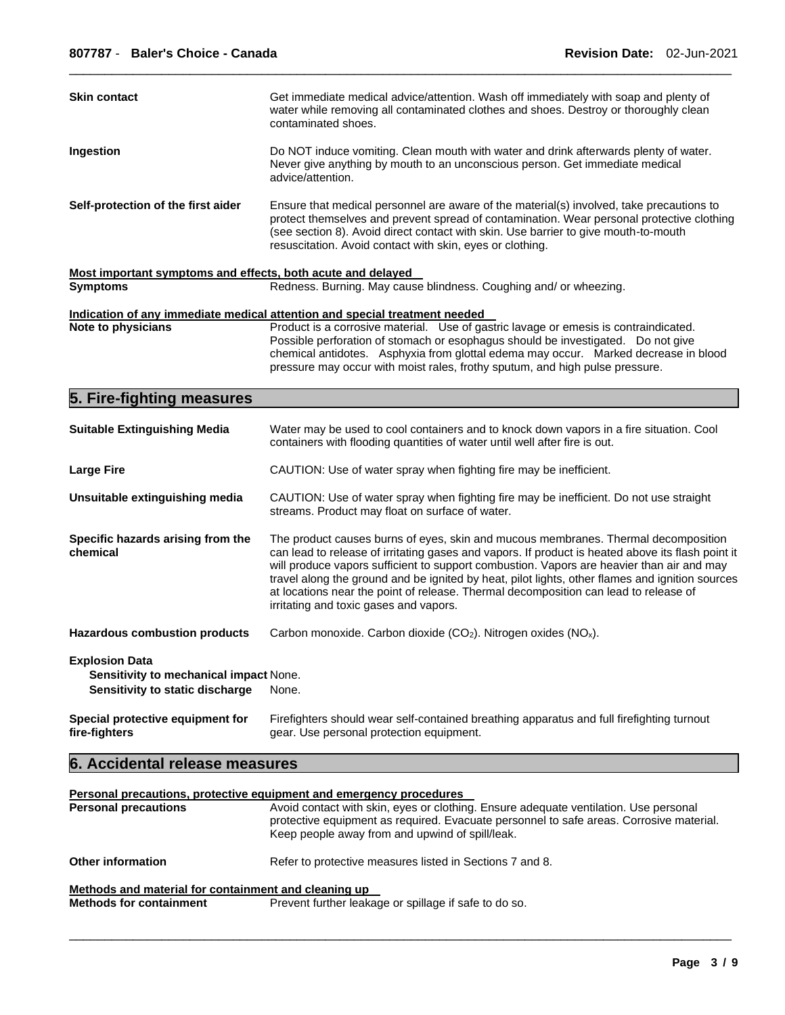| <b>Skin contact</b>                                                                                | Get immediate medical advice/attention. Wash off immediately with soap and plenty of<br>water while removing all contaminated clothes and shoes. Destroy or thoroughly clean<br>contaminated shoes.                                                                                                                                                                                                                                                                                                                       |
|----------------------------------------------------------------------------------------------------|---------------------------------------------------------------------------------------------------------------------------------------------------------------------------------------------------------------------------------------------------------------------------------------------------------------------------------------------------------------------------------------------------------------------------------------------------------------------------------------------------------------------------|
| Ingestion                                                                                          | Do NOT induce vomiting. Clean mouth with water and drink afterwards plenty of water.<br>Never give anything by mouth to an unconscious person. Get immediate medical<br>advice/attention.                                                                                                                                                                                                                                                                                                                                 |
| Self-protection of the first aider                                                                 | Ensure that medical personnel are aware of the material(s) involved, take precautions to<br>protect themselves and prevent spread of contamination. Wear personal protective clothing<br>(see section 8). Avoid direct contact with skin. Use barrier to give mouth-to-mouth<br>resuscitation. Avoid contact with skin, eyes or clothing.                                                                                                                                                                                 |
| Most important symptoms and effects, both acute and delayed<br><b>Symptoms</b>                     | Redness. Burning. May cause blindness. Coughing and/ or wheezing.                                                                                                                                                                                                                                                                                                                                                                                                                                                         |
|                                                                                                    |                                                                                                                                                                                                                                                                                                                                                                                                                                                                                                                           |
| Note to physicians                                                                                 | Indication of any immediate medical attention and special treatment needed<br>Product is a corrosive material. Use of gastric lavage or emesis is contraindicated.<br>Possible perforation of stomach or esophagus should be investigated.  Do not give<br>chemical antidotes. Asphyxia from glottal edema may occur. Marked decrease in blood<br>pressure may occur with moist rales, frothy sputum, and high pulse pressure.                                                                                            |
| 5. Fire-fighting measures                                                                          |                                                                                                                                                                                                                                                                                                                                                                                                                                                                                                                           |
| <b>Suitable Extinguishing Media</b>                                                                | Water may be used to cool containers and to knock down vapors in a fire situation. Cool<br>containers with flooding quantities of water until well after fire is out.                                                                                                                                                                                                                                                                                                                                                     |
| <b>Large Fire</b>                                                                                  | CAUTION: Use of water spray when fighting fire may be inefficient.                                                                                                                                                                                                                                                                                                                                                                                                                                                        |
| Unsuitable extinguishing media                                                                     | CAUTION: Use of water spray when fighting fire may be inefficient. Do not use straight<br>streams. Product may float on surface of water.                                                                                                                                                                                                                                                                                                                                                                                 |
| Specific hazards arising from the<br>chemical                                                      | The product causes burns of eyes, skin and mucous membranes. Thermal decomposition<br>can lead to release of irritating gases and vapors. If product is heated above its flash point it<br>will produce vapors sufficient to support combustion. Vapors are heavier than air and may<br>travel along the ground and be ignited by heat, pilot lights, other flames and ignition sources<br>at locations near the point of release. Thermal decomposition can lead to release of<br>irritating and toxic gases and vapors. |
| <b>Hazardous combustion products</b>                                                               | Carbon monoxide. Carbon dioxide (CO <sub>2</sub> ). Nitrogen oxides (NO <sub>x</sub> ).                                                                                                                                                                                                                                                                                                                                                                                                                                   |
| <b>Explosion Data</b><br>Sensitivity to mechanical impact None.<br>Sensitivity to static discharge | None.                                                                                                                                                                                                                                                                                                                                                                                                                                                                                                                     |
| Special protective equipment for<br>fire-fighters                                                  | Firefighters should wear self-contained breathing apparatus and full firefighting turnout<br>gear. Use personal protection equipment.                                                                                                                                                                                                                                                                                                                                                                                     |
| 6. Accidental release measures                                                                     |                                                                                                                                                                                                                                                                                                                                                                                                                                                                                                                           |
|                                                                                                    |                                                                                                                                                                                                                                                                                                                                                                                                                                                                                                                           |
| Devenuel nusseitlang                                                                               | Personal precautions, protective equipment and emergency procedures<br>Avoid contact with older over or olothing                                                                                                                                                                                                                                                                                                                                                                                                          |

|                                                      | <u>. Gioonal proceediction protocity celempinont enterchiore proceedict</u>                                                                                                                                                        |
|------------------------------------------------------|------------------------------------------------------------------------------------------------------------------------------------------------------------------------------------------------------------------------------------|
| <b>Personal precautions</b>                          | Avoid contact with skin, eyes or clothing. Ensure adequate ventilation. Use personal<br>protective equipment as required. Evacuate personnel to safe areas. Corrosive material.<br>Keep people away from and upwind of spill/leak. |
| <b>Other information</b>                             | Refer to protective measures listed in Sections 7 and 8.                                                                                                                                                                           |
| Methods and material for containment and cleaning up |                                                                                                                                                                                                                                    |
| <b>Methods for containment</b>                       | Prevent further leakage or spillage if safe to do so.                                                                                                                                                                              |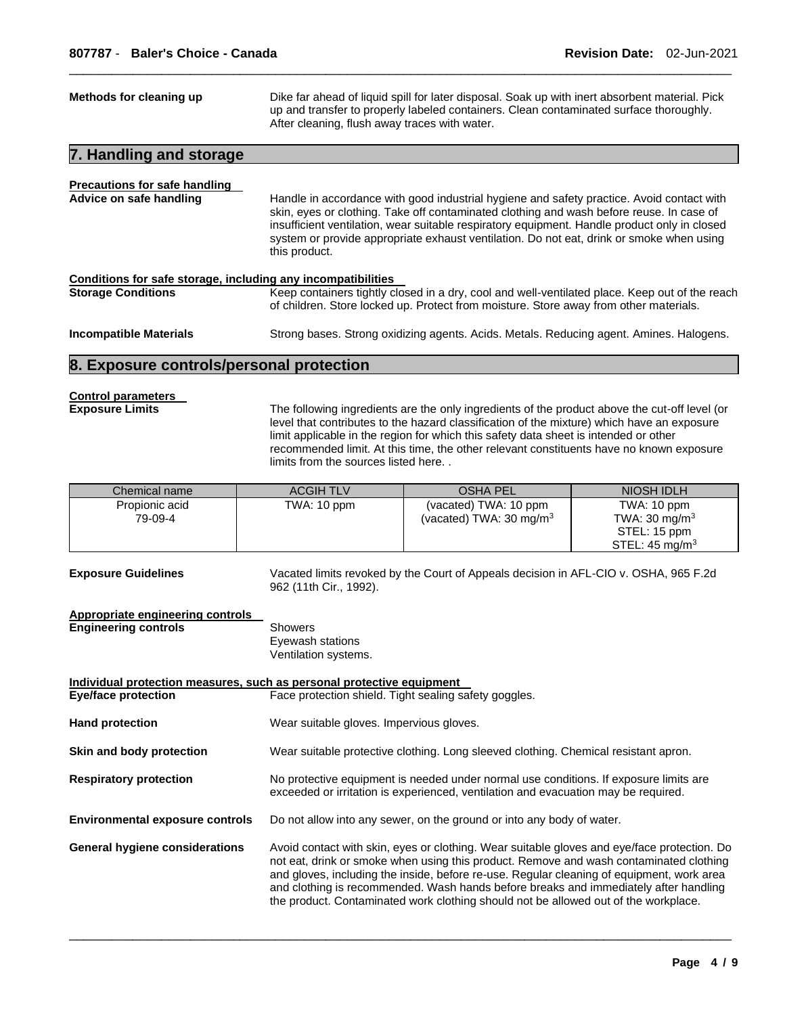| Methods for cleaning up                                                                             |                                                     | Dike far ahead of liquid spill for later disposal. Soak up with inert absorbent material. Pick<br>up and transfer to properly labeled containers. Clean contaminated surface thoroughly.<br>After cleaning, flush away traces with water.                                                                                                                                                                                                                         |                                                                                      |  |
|-----------------------------------------------------------------------------------------------------|-----------------------------------------------------|-------------------------------------------------------------------------------------------------------------------------------------------------------------------------------------------------------------------------------------------------------------------------------------------------------------------------------------------------------------------------------------------------------------------------------------------------------------------|--------------------------------------------------------------------------------------|--|
| 7. Handling and storage                                                                             |                                                     |                                                                                                                                                                                                                                                                                                                                                                                                                                                                   |                                                                                      |  |
| <b>Precautions for safe handling</b><br>Advice on safe handling                                     | this product.                                       | Handle in accordance with good industrial hygiene and safety practice. Avoid contact with<br>skin, eyes or clothing. Take off contaminated clothing and wash before reuse. In case of<br>insufficient ventilation, wear suitable respiratory equipment. Handle product only in closed<br>system or provide appropriate exhaust ventilation. Do not eat, drink or smoke when using                                                                                 |                                                                                      |  |
| Conditions for safe storage, including any incompatibilities<br><b>Storage Conditions</b>           |                                                     | Keep containers tightly closed in a dry, cool and well-ventilated place. Keep out of the reach<br>of children. Store locked up. Protect from moisture. Store away from other materials.                                                                                                                                                                                                                                                                           |                                                                                      |  |
| <b>Incompatible Materials</b>                                                                       |                                                     | Strong bases. Strong oxidizing agents. Acids. Metals. Reducing agent. Amines. Halogens.                                                                                                                                                                                                                                                                                                                                                                           |                                                                                      |  |
| 8. Exposure controls/personal protection                                                            |                                                     |                                                                                                                                                                                                                                                                                                                                                                                                                                                                   |                                                                                      |  |
| <b>Control parameters</b><br><b>Exposure Limits</b>                                                 |                                                     | The following ingredients are the only ingredients of the product above the cut-off level (or<br>level that contributes to the hazard classification of the mixture) which have an exposure<br>limit applicable in the region for which this safety data sheet is intended or other<br>recommended limit. At this time, the other relevant constituents have no known exposure<br>limits from the sources listed here                                             |                                                                                      |  |
| Chemical name                                                                                       | <b>ACGIH TLV</b>                                    | <b>OSHA PEL</b>                                                                                                                                                                                                                                                                                                                                                                                                                                                   | NIOSH IDLH                                                                           |  |
| Propionic acid<br>79-09-4                                                                           | TWA: 10 ppm                                         | (vacated) TWA: 10 ppm<br>(vacated) TWA: 30 mg/m <sup>3</sup>                                                                                                                                                                                                                                                                                                                                                                                                      | TWA: 10 ppm<br>TWA: $30 \text{ mg/m}^3$<br>STEL: 15 ppm<br>STEL: $45 \text{ mg/m}^3$ |  |
| <b>Exposure Guidelines</b>                                                                          | 962 (11th Cir., 1992).                              | Vacated limits revoked by the Court of Appeals decision in AFL-CIO v. OSHA, 965 F.2d                                                                                                                                                                                                                                                                                                                                                                              |                                                                                      |  |
| Appropriate engineering controls<br><b>Engineering controls</b>                                     | Showers<br>Eyewash stations<br>Ventilation systems. |                                                                                                                                                                                                                                                                                                                                                                                                                                                                   |                                                                                      |  |
| Individual protection measures, such as personal protective equipment<br><b>Eye/face protection</b> |                                                     | Face protection shield. Tight sealing safety goggles.                                                                                                                                                                                                                                                                                                                                                                                                             |                                                                                      |  |
| <b>Hand protection</b>                                                                              | Wear suitable gloves. Impervious gloves.            |                                                                                                                                                                                                                                                                                                                                                                                                                                                                   |                                                                                      |  |
| Skin and body protection                                                                            |                                                     | Wear suitable protective clothing. Long sleeved clothing. Chemical resistant apron.                                                                                                                                                                                                                                                                                                                                                                               |                                                                                      |  |
| <b>Respiratory protection</b>                                                                       |                                                     | No protective equipment is needed under normal use conditions. If exposure limits are<br>exceeded or irritation is experienced, ventilation and evacuation may be required.                                                                                                                                                                                                                                                                                       |                                                                                      |  |
| <b>Environmental exposure controls</b>                                                              |                                                     | Do not allow into any sewer, on the ground or into any body of water.                                                                                                                                                                                                                                                                                                                                                                                             |                                                                                      |  |
| <b>General hygiene considerations</b>                                                               |                                                     | Avoid contact with skin, eyes or clothing. Wear suitable gloves and eye/face protection. Do<br>not eat, drink or smoke when using this product. Remove and wash contaminated clothing<br>and gloves, including the inside, before re-use. Regular cleaning of equipment, work area<br>and clothing is recommended. Wash hands before breaks and immediately after handling<br>the product. Contaminated work clothing should not be allowed out of the workplace. |                                                                                      |  |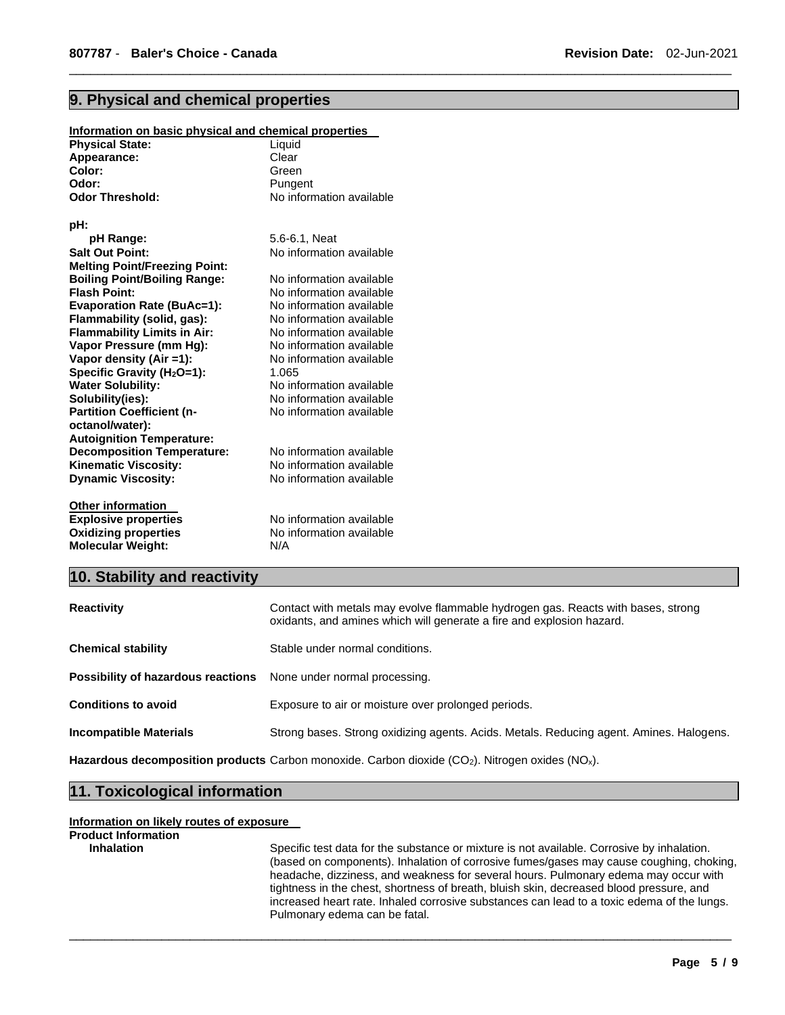# **9. Physical and chemical properties**

| Information on basic physical and chemical properties |                          |  |  |
|-------------------------------------------------------|--------------------------|--|--|
| <b>Physical State:</b>                                | Liquid                   |  |  |
| Appearance:                                           | Clear                    |  |  |
| Color:                                                | Green                    |  |  |
| Odor:                                                 | Pungent                  |  |  |
| <b>Odor Threshold:</b>                                | No information available |  |  |
|                                                       |                          |  |  |
| pH:                                                   |                          |  |  |
| pH Range:                                             | 5.6-6.1. Neat            |  |  |
| <b>Salt Out Point:</b>                                | No information available |  |  |
| <b>Melting Point/Freezing Point:</b>                  |                          |  |  |
| <b>Boiling Point/Boiling Range:</b>                   | No information available |  |  |
| <b>Flash Point:</b>                                   | No information available |  |  |
| <b>Evaporation Rate (BuAc=1):</b>                     | No information available |  |  |
| Flammability (solid, gas):                            | No information available |  |  |
| <b>Flammability Limits in Air:</b>                    | No information available |  |  |
| Vapor Pressure (mm Hg):                               | No information available |  |  |
| Vapor density (Air =1):                               | No information available |  |  |
| Specific Gravity (H <sub>2</sub> O=1):                | 1.065                    |  |  |
| <b>Water Solubility:</b>                              | No information available |  |  |
| Solubility(ies):                                      | No information available |  |  |
| <b>Partition Coefficient (n-</b>                      | No information available |  |  |
| octanol/water):                                       |                          |  |  |
| <b>Autoignition Temperature:</b>                      |                          |  |  |
| <b>Decomposition Temperature:</b>                     | No information available |  |  |
| <b>Kinematic Viscosity:</b>                           | No information available |  |  |
| <b>Dynamic Viscosity:</b>                             | No information available |  |  |
|                                                       |                          |  |  |
| <b>Other information</b>                              |                          |  |  |
| <b>Explosive properties</b>                           | No information available |  |  |
| <b>Oxidizing properties</b>                           | No information available |  |  |
| <b>Molecular Weight:</b>                              | N/A                      |  |  |
|                                                       |                          |  |  |

# **10. Stability and reactivity**

| <b>Reactivity</b>                  | Contact with metals may evolve flammable hydrogen gas. Reacts with bases, strong<br>oxidants, and amines which will generate a fire and explosion hazard. |
|------------------------------------|-----------------------------------------------------------------------------------------------------------------------------------------------------------|
| <b>Chemical stability</b>          | Stable under normal conditions.                                                                                                                           |
| Possibility of hazardous reactions | None under normal processing.                                                                                                                             |
| <b>Conditions to avoid</b>         | Exposure to air or moisture over prolonged periods.                                                                                                       |
| <b>Incompatible Materials</b>      | Strong bases. Strong oxidizing agents. Acids. Metals. Reducing agent. Amines. Halogens.                                                                   |

\_\_\_\_\_\_\_\_\_\_\_\_\_\_\_\_\_\_\_\_\_\_\_\_\_\_\_\_\_\_\_\_\_\_\_\_\_\_\_\_\_\_\_\_\_\_\_\_\_\_\_\_\_\_\_\_\_\_\_\_\_\_\_\_\_\_\_\_\_\_\_\_\_\_\_\_\_\_\_\_\_\_\_\_\_\_\_\_\_\_\_\_\_

\_\_\_\_\_\_\_\_\_\_\_\_\_\_\_\_\_\_\_\_\_\_\_\_\_\_\_\_\_\_\_\_\_\_\_\_\_\_\_\_\_\_\_\_\_\_\_\_\_\_\_\_\_\_\_\_\_\_\_\_\_\_\_\_\_\_\_\_\_\_\_\_\_\_\_\_\_\_\_\_\_\_\_\_\_\_\_\_\_\_\_\_\_

Hazardous decomposition products Carbon monoxide. Carbon dioxide (CO<sub>2</sub>). Nitrogen oxides (NO<sub>x</sub>).

## **11. Toxicological information**

#### **Information on likely routes of exposure**

# **Product Information**

**Inhalation** Specific test data for the substance or mixture is not available. Corrosive by inhalation. (based on components). Inhalation of corrosive fumes/gases may cause coughing, choking, headache, dizziness, and weakness for several hours. Pulmonary edema may occur with tightness in the chest, shortness of breath, bluish skin, decreased blood pressure, and increased heart rate. Inhaled corrosive substances can lead to a toxic edema of the lungs. Pulmonary edema can be fatal.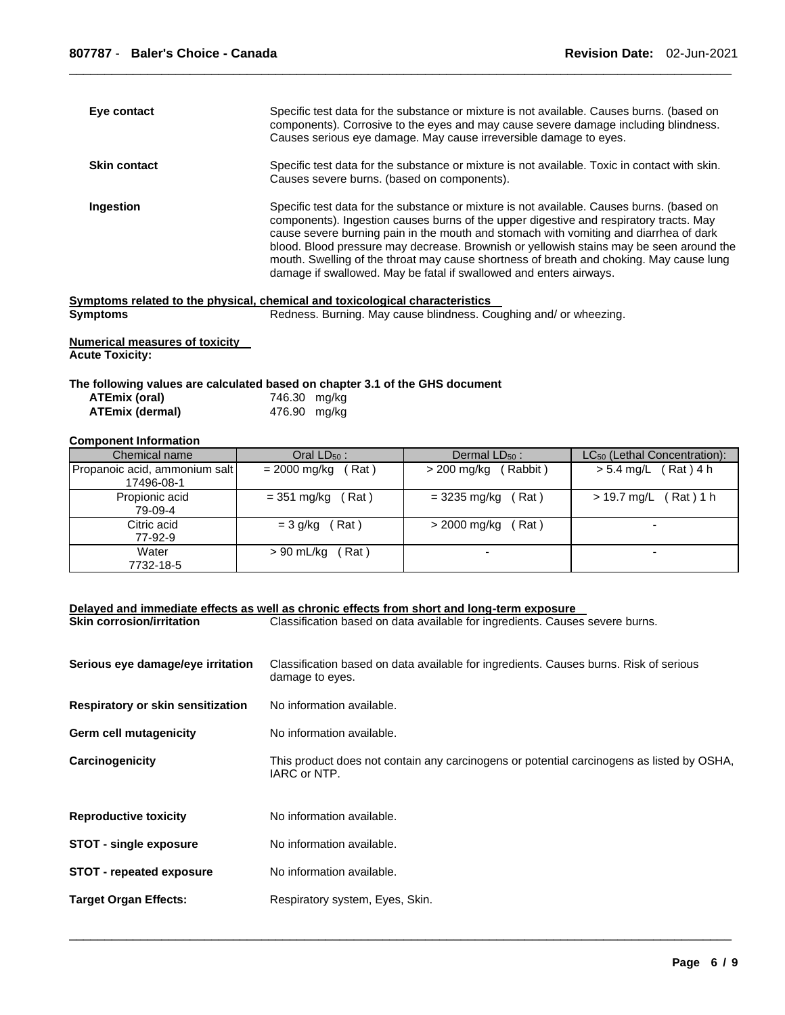| Eye contact         | Specific test data for the substance or mixture is not available. Causes burns. (based on<br>components). Corrosive to the eyes and may cause severe damage including blindness.<br>Causes serious eye damage. May cause irreversible damage to eyes.                                                                                                                                                                                                                                                                                    |
|---------------------|------------------------------------------------------------------------------------------------------------------------------------------------------------------------------------------------------------------------------------------------------------------------------------------------------------------------------------------------------------------------------------------------------------------------------------------------------------------------------------------------------------------------------------------|
| <b>Skin contact</b> | Specific test data for the substance or mixture is not available. Toxic in contact with skin.<br>Causes severe burns. (based on components).                                                                                                                                                                                                                                                                                                                                                                                             |
| Ingestion           | Specific test data for the substance or mixture is not available. Causes burns. (based on<br>components). Ingestion causes burns of the upper digestive and respiratory tracts. May<br>cause severe burning pain in the mouth and stomach with vomiting and diarrhea of dark<br>blood. Blood pressure may decrease. Brownish or yellowish stains may be seen around the<br>mouth. Swelling of the throat may cause shortness of breath and choking. May cause lung<br>damage if swallowed. May be fatal if swallowed and enters airways. |

#### **Symptoms related to the physical, chemical and toxicological characteristics**

```
Symptoms Redness. Burning. May cause blindness. Coughing and/ or wheezing. Suppose \theta
```
**Numerical measures of toxicity Acute Toxicity:** 

#### **The following values are calculated based on chapter 3.1 of the GHS document**

| ATEmix (oral)   | 746.30 mg/kg |  |
|-----------------|--------------|--|
| ATEmix (dermal) | 476.90 mg/kg |  |

### **Component Information**

| Chemical name                 | Oral $LD_{50}$ :      | Dermal $LD_{50}$ :     | LC <sub>50</sub> (Lethal Concentration): |
|-------------------------------|-----------------------|------------------------|------------------------------------------|
| Propanoic acid, ammonium salt | = 2000 mg/kg<br>(Rat) | $>$ 200 mg/kg (Rabbit) | $> 5.4$ mg/L (Rat) 4 h                   |
| 17496-08-1                    |                       |                        |                                          |
| Propionic acid                | $=$ 351 mg/kg (Rat)   | $=$ 3235 mg/kg (Rat)   | $> 19.7$ mg/L (Rat) 1 h                  |
| 79-09-4                       |                       |                        |                                          |
| Citric acid                   | $= 3$ g/kg (Rat)      | Rat)<br>> 2000 mg/kg   | $\overline{\phantom{0}}$                 |
| 77-92-9                       |                       |                        |                                          |
| Water                         | > 90 mL/kg<br>Rat)    |                        | -                                        |
| 7732-18-5                     |                       |                        |                                          |

|                                   | Delayed and immediate effects as well as chronic effects from short and long-term exposure                |
|-----------------------------------|-----------------------------------------------------------------------------------------------------------|
| <b>Skin corrosion/irritation</b>  | Classification based on data available for ingredients. Causes severe burns.                              |
| Serious eye damage/eye irritation | Classification based on data available for ingredients. Causes burns. Risk of serious<br>damage to eyes.  |
| Respiratory or skin sensitization | No information available.                                                                                 |
| Germ cell mutagenicity            | No information available.                                                                                 |
| Carcinogenicity                   | This product does not contain any carcinogens or potential carcinogens as listed by OSHA,<br>IARC or NTP. |
| <b>Reproductive toxicity</b>      | No information available.                                                                                 |
| <b>STOT - single exposure</b>     | No information available.                                                                                 |
| <b>STOT</b> - repeated exposure   | No information available.                                                                                 |
| <b>Target Organ Effects:</b>      | Respiratory system, Eyes, Skin.                                                                           |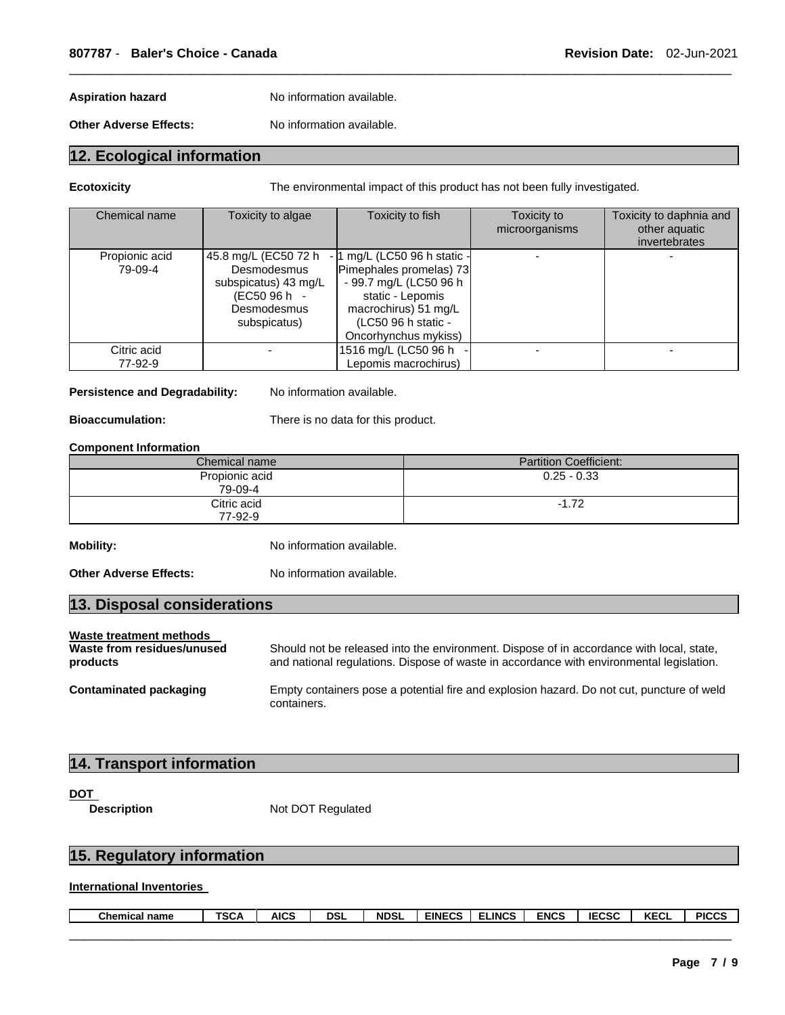Aspiration hazard **No information available.** 

**Other Adverse Effects:** No information available.

# **12. Ecological information**

**Ecotoxicity** The environmental impact of this product has not been fully investigated.

| Chemical name             | Toxicity to algae                                                                                          | Toxicity to fish                                                                                                                                                             | Toxicity to<br>microorganisms | Toxicity to daphnia and<br>other aquatic<br>invertebrates |
|---------------------------|------------------------------------------------------------------------------------------------------------|------------------------------------------------------------------------------------------------------------------------------------------------------------------------------|-------------------------------|-----------------------------------------------------------|
| Propionic acid<br>79-09-4 | 45.8 mg/L (EC50 72 h<br>Desmodesmus<br>subspicatus) 43 mg/L<br>(EC50 96 h -<br>Desmodesmus<br>subspicatus) | - 1 mg/L (LC50 96 h static -<br>Pimephales promelas) 73<br>- 99.7 mg/L (LC50 96 h<br>static - Lepomis<br>macrochirus) 51 mg/L<br>(LC50 96 h static -<br>Oncorhynchus mykiss) |                               |                                                           |
| Citric acid<br>77-92-9    |                                                                                                            | 1516 mg/L (LC50 96 h<br>Lepomis macrochirus)                                                                                                                                 |                               |                                                           |

\_\_\_\_\_\_\_\_\_\_\_\_\_\_\_\_\_\_\_\_\_\_\_\_\_\_\_\_\_\_\_\_\_\_\_\_\_\_\_\_\_\_\_\_\_\_\_\_\_\_\_\_\_\_\_\_\_\_\_\_\_\_\_\_\_\_\_\_\_\_\_\_\_\_\_\_\_\_\_\_\_\_\_\_\_\_\_\_\_\_\_\_\_

#### Persistence and Degradability: No information available.

**Bioaccumulation:** There is no data for this product.

#### **Component Information**

| Chemical name             | <b>Partition Coefficient:</b> |
|---------------------------|-------------------------------|
| Propionic acid<br>79-09-4 | $0.25 - 0.33$                 |
| Citric acid<br>77-92-9    | $-1.72$                       |

**Mobility:** No information available.

**Other Adverse Effects:** No information available.

| 13. Disposal considerations                           |                                                                                          |
|-------------------------------------------------------|------------------------------------------------------------------------------------------|
| Waste treatment methods<br>Waste from residues/unused | Should not be released into the environment. Dispose of in accordance with local, state, |

| Waste from residues/unused | Should not be released into the environment. Dispose of in accordance with local, state,  |
|----------------------------|-------------------------------------------------------------------------------------------|
| products                   | and national regulations. Dispose of waste in accordance with environmental legislation.  |
| Contaminated noclearing    | Freedy contoiners nooc o notential fire and contactor boared. De not out munoture of well |

**Contaminated packaging** Empty containers pose a potential fire and explosion hazard. Do not cut, puncture of weld containers.

# **14. Transport information**

#### DOT

**Description Not DOT Regulated** 

# **15. Regulatory information**

### **International Inventories**

| Chemical<br>name | T00<br>SGA | <b>AICS</b> | dsl | <b>NDSL</b> | <b>EINECS</b><br>-65 | <b>LINCS</b> | <b>FULOS</b><br>:Nt<br>. . | 1000 <sup>2</sup><br>┅<br>ادت | $V = 0$<br>n.<br>ึ | <b>PICCS</b> |
|------------------|------------|-------------|-----|-------------|----------------------|--------------|----------------------------|-------------------------------|--------------------|--------------|
|                  |            |             |     |             |                      |              |                            |                               |                    |              |
|                  |            |             |     |             |                      |              |                            |                               |                    |              |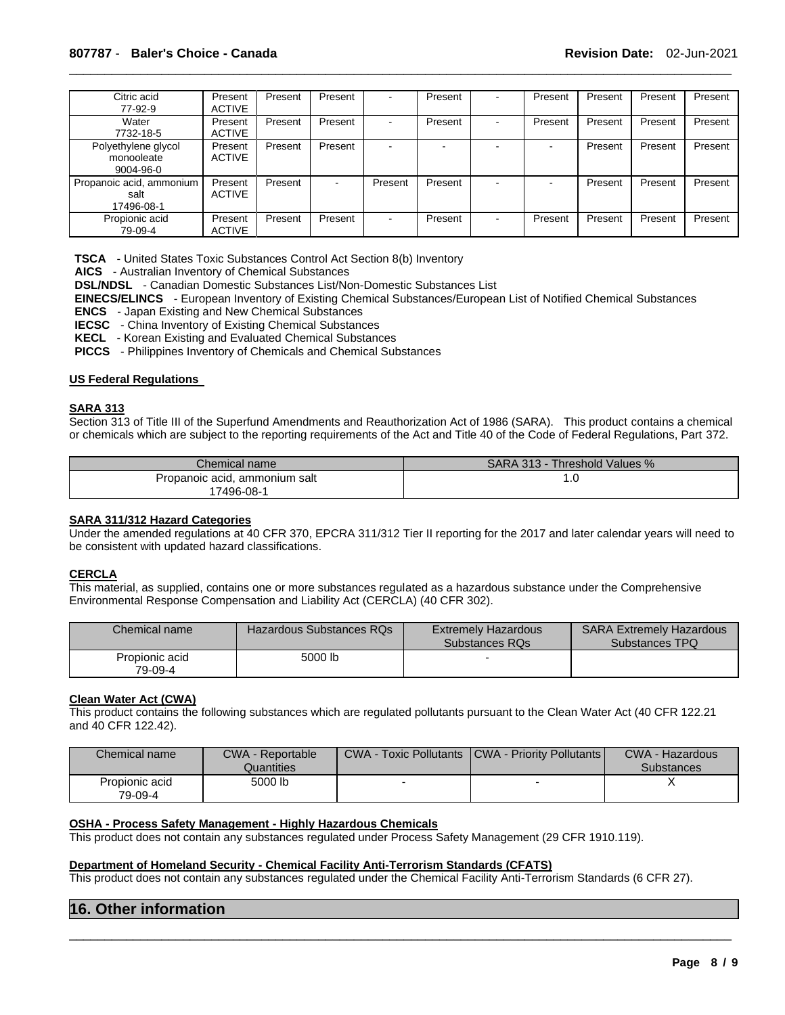| Citric acid<br>77-92-9                               | Present<br><b>ACTIVE</b> | Present | Present | -       | Present |   | Present | Present | Present | Present |
|------------------------------------------------------|--------------------------|---------|---------|---------|---------|---|---------|---------|---------|---------|
| Water<br>7732-18-5                                   | Present<br><b>ACTIVE</b> | Present | Present | ۰       | Present | - | Present | Present | Present | Present |
| Polyethylene glycol<br>monooleate<br>$9004 - 96 - 0$ | Present<br><b>ACTIVE</b> | Present | Present |         |         |   |         | Present | Present | Present |
| Propanoic acid, ammonium<br>salt<br>17496-08-1       | Present<br><b>ACTIVE</b> | Present | -       | Present | Present |   |         | Present | Present | Present |
| Propionic acid<br>79-09-4                            | Present<br><b>ACTIVE</b> | Present | Present | $\sim$  | Present | - | Present | Present | Present | Present |

**TSCA** - United States Toxic Substances Control Act Section 8(b) Inventory

**AICS** - Australian Inventory of Chemical Substances

**DSL/NDSL** - Canadian Domestic Substances List/Non-Domestic Substances List

**EINECS/ELINCS** - European Inventory of Existing Chemical Substances/European List of Notified Chemical Substances **ENCS** - Japan Existing and New Chemical Substances

**IECSC** - China Inventory of Existing Chemical Substances

**KECL** - Korean Existing and Evaluated Chemical Substances

**PICCS** - Philippines Inventory of Chemicals and Chemical Substances

#### **US Federal Regulations**

#### **SARA 313**

Section 313 of Title III of the Superfund Amendments and Reauthorization Act of 1986 (SARA). This product contains a chemical or chemicals which are subject to the reporting requirements of the Act and Title 40 of the Code of Federal Regulations, Part 372.

| Chemical name                 | <b>SARA 313 - 7</b><br>Threshold Values % |
|-------------------------------|-------------------------------------------|
| Propanoic acid, ammonium salt | ن. ا                                      |
| 7496-08-1                     |                                           |

#### **SARA 311/312 Hazard Categories**

Under the amended regulations at 40 CFR 370, EPCRA 311/312 Tier II reporting for the 2017 and later calendar years will need to be consistent with updated hazard classifications.

#### **CERCLA**

This material, as supplied, contains one or more substances regulated as a hazardous substance under the Comprehensive Environmental Response Compensation and Liability Act (CERCLA) (40 CFR 302).

| Chemical name             | Hazardous Substances RQs | <b>Extremely Hazardous</b><br>Substances RQs | <b>SARA Extremely Hazardous</b><br>Substances TPQ |
|---------------------------|--------------------------|----------------------------------------------|---------------------------------------------------|
| Propionic acid<br>79-09-4 | 5000 lb                  |                                              |                                                   |

#### **Clean Water Act (CWA)**

This product contains the following substances which are regulated pollutants pursuant to the Clean Water Act (40 CFR 122.21 and 40 CFR 122.42).

| Chemical name             | <b>CWA - Reportable</b> | <b>CWA - Toxic Pollutants</b> | <b>CWA - Priority Pollutants</b> | <b>CWA - Hazardous</b> |
|---------------------------|-------------------------|-------------------------------|----------------------------------|------------------------|
|                           | Quantities              |                               |                                  | <b>Substances</b>      |
| Propionic acid<br>79-09-4 | 5000 lb                 |                               |                                  |                        |

#### **OSHA - Process Safety Management - Highly Hazardous Chemicals**

This product does not contain any substances regulated under Process Safety Management (29 CFR 1910.119).

#### **Department of Homeland Security - Chemical Facility Anti-Terrorism Standards (CFATS)**

This product does not contain any substances regulated under the Chemical Facility Anti-Terrorism Standards (6 CFR 27).

\_\_\_\_\_\_\_\_\_\_\_\_\_\_\_\_\_\_\_\_\_\_\_\_\_\_\_\_\_\_\_\_\_\_\_\_\_\_\_\_\_\_\_\_\_\_\_\_\_\_\_\_\_\_\_\_\_\_\_\_\_\_\_\_\_\_\_\_\_\_\_\_\_\_\_\_\_\_\_\_\_\_\_\_\_\_\_\_\_\_\_\_\_

### **16. Other information**